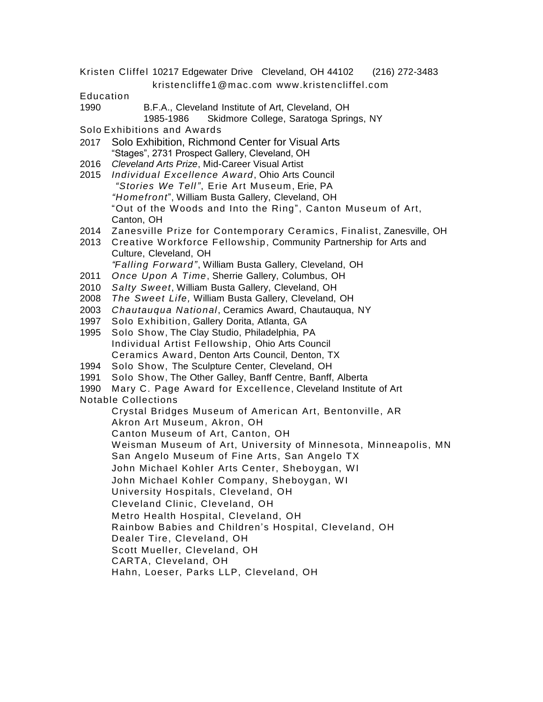Kristen Cliffel 10217 Edgewater Drive Cleveland, OH 44102 (216) 272-3483

kristencliffe1@mac.com www.kristencliffel.com

Education

- 1990 B.F.A., Cleveland Institute of Art, Cleveland, OH
	- 1985-1986 Skidmore College, Saratoga Springs, NY

Solo Exhibitions and Awards

- 2017 Solo Exhibition, Richmond Center for Visual Arts "Stages", 2731 Prospect Gallery, Cleveland, OH
- 2016 *Cleveland Arts Prize*, Mid-Career Visual Artist
- 2015 *Individual Excellence Award*, Ohio Arts Council *"Stories We Tell"*, Erie Art Museum, Erie, PA *"Homefront*", William Busta Gallery, Cleveland, OH "Out of the Woods and Into the Ring", Canton Museum of Art, Canton, OH
- 2014 Zanesville Prize for Contemporary Ceramics, Finalist, Zanesville, OH
- 2013 Creative Workforce Fellowship, Community Partnership for Arts and Culture, Cleveland, OH *"Falling Forward"*, William Busta Gallery, Cleveland, OH
- 2011 *Once Upon A Time*, Sherrie Gallery, Columbus, OH
- 2010 *Salty Sweet*, William Busta Gallery, Cleveland, OH
- 2008 *The Sweet Life,* William Busta Gallery, Cleveland, OH
- 2003 *Chautauqua National*, Ceramics Award, Chautauqua, NY
- 1997 Solo Exhibition, Gallery Dorita, Atlanta, GA
- 1995 Solo Show, The Clay Studio, Philadelphia, PA Individual Artist Fellowship, Ohio Arts Council Ceramics Award, Denton Arts Council, Denton, TX
- 1994 Solo Show, The Sculpture Center, Cleveland, OH
- 1991 Solo Show, The Other Galley, Banff Centre, Banff, Alberta
- 1990 Mary C. Page Award for Excellence, Cleveland Institute of Art

Notable Collections

Crystal Bridges Museum of American Art, Bentonville, AR Akron Art Museum, Akron, OH

Canton Museum of Art, Canton, OH

Weisman Museum of Art, University of Minnesota, Minneapolis, MN

San Angelo Museum of Fine Arts, San Angelo TX

John Michael Kohler Arts Center, Sheboygan, WI

John Michael Kohler Company, Sheboygan, WI

- University Hospitals, Cleveland, OH
- Cleveland Clinic, Cleveland, OH
- Metro Health Hospital, Cleveland, OH

Rainbow Babies and Children's Hospital, Cleveland, OH

- Dealer Tire, Cleveland, OH
- Scott Mueller, Cleveland, OH
- CARTA, Cleveland, OH

Hahn, Loeser, Parks LLP, Cleveland, OH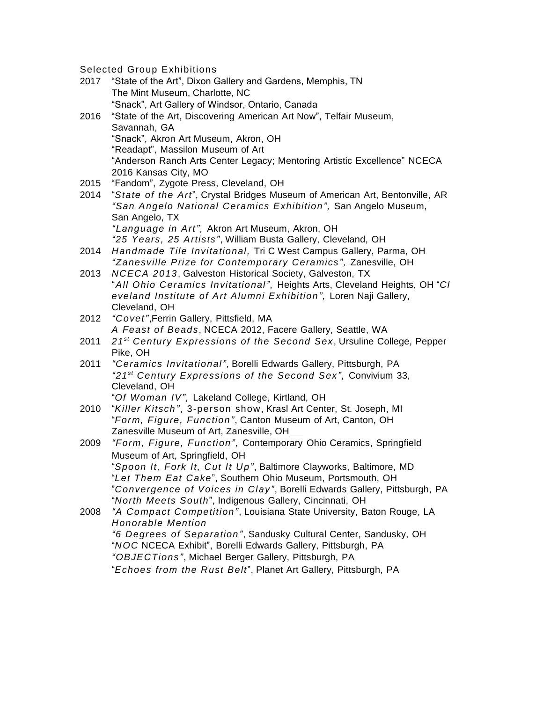Selected Group Exhibitions

- 2017 "State of the Art", Dixon Gallery and Gardens, Memphis, TN The Mint Museum, Charlotte, NC "Snack", Art Gallery of Windsor, Ontario, Canada
- 2016 "State of the Art, Discovering American Art Now", Telfair Museum, Savannah, GA "Snack", Akron Art Museum, Akron, OH "Readapt", Massilon Museum of Art "Anderson Ranch Arts Center Legacy; Mentoring Artistic Excellence" NCECA 2016 Kansas City, MO
- 2015 "Fandom", Zygote Press, Cleveland, OH
- 2014 "*State of the Art*", Crystal Bridges Museum of American Art, Bentonville, AR *"San Angelo National Ceramics Exhibition",* San Angelo Museum, San Angelo, TX *"Language in Art",* Akron Art Museum, Akron, OH *"25 Years, 25 Artists"*, William Busta Gallery, Cleveland, OH
- 2014 *Handmade Tile Invitational,* Tri C West Campus Gallery, Parma, OH *"Zanesville Prize for Contemporary Ceramics",* Zanesville, OH
- 2013 *NCECA 2013*, Galveston Historical Society, Galveston, TX "*All Ohio Ceramics Invitational",* Heights Arts, Cleveland Heights, OH "*Cl eveland Institute of Art Alumni Exhibition",* Loren Naji Gallery, Cleveland, OH
- 2012 *"Covet"*,Ferrin Gallery, Pittsfield, MA *A Feast of Beads*, NCECA 2012, Facere Gallery, Seattle, WA
- 2011 *21 st Century Expressions of the Second Sex*, Ursuline College, Pepper Pike, OH
- 2011 *"Ceramics Invitational"*, Borelli Edwards Gallery, Pittsburgh, PA *"21 st Century Expressions of the Second Sex",* Convivium 33, Cleveland, OH
	- "*Of Woman IV",* Lakeland College, Kirtland, OH
- 2010 "*Killer Kitsch"*, 3-person show, Krasl Art Center, St. Joseph, MI "*Form, Figure, Function"*, Canton Museum of Art, Canton, OH Zanesville Museum of Art, Zanesville, OH
- 2009 *"Form, Figure, Function",* Contemporary Ohio Ceramics, Springfield Museum of Art, Springfield, OH "*Spoon It, Fork It, Cut It Up"*, Baltimore Clayworks, Baltimore, MD "*Let Them Eat Cake*", Southern Ohio Museum, Portsmouth, OH "*Convergence of Voices in Clay"*, Borelli Edwards Gallery, Pittsburgh, PA "*North Meets South*", Indigenous Gallery, Cincinnati, OH
- 2008 *"A Compact Competition"*, Louisiana State University, Baton Rouge, LA *Honorable Mention "6 Degrees of Separation"*, Sandusky Cultural Center, Sandusky, OH "*NOC* NCECA Exhibit", Borelli Edwards Gallery, Pittsburgh, PA *"OBJECTions"*, Michael Berger Gallery, Pittsburgh, PA "*Echoes from the Rust Belt*", Planet Art Gallery, Pittsburgh, PA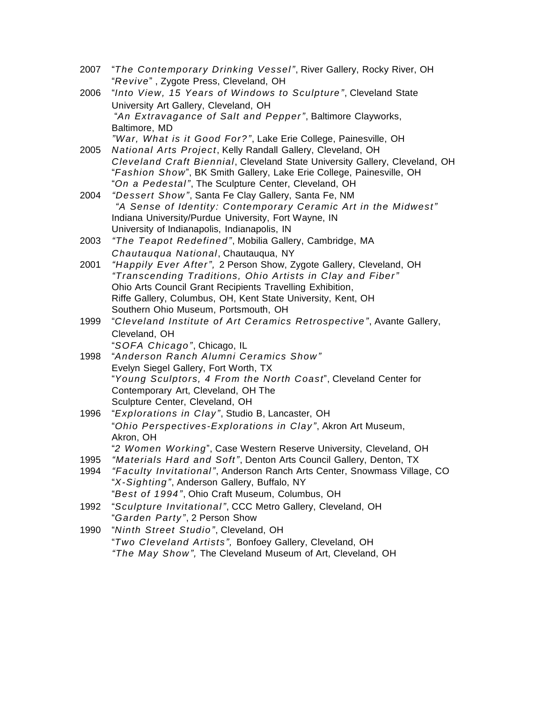- 2007 "*The Contemporary Drinking Vessel"*, River Gallery, Rocky River, OH "*Revive*" , Zygote Press, Cleveland, OH
- 2006 "*Into View, 15 Years of Windows to Sculpture"*, Cleveland State University Art Gallery, Cleveland, OH "*An Extravagance of Salt and Pepper"*, Baltimore Clayworks, Baltimore, MD *"War, What is it Good For?"*, Lake Erie College, Painesville, OH
- 2005 *National Arts Project*, Kelly Randall Gallery, Cleveland, OH *Cleveland Craft Biennial*, Cleveland State University Gallery, Cleveland, OH "*Fashion Show*", BK Smith Gallery, Lake Erie College, Painesville, OH "*On a Pedestal"*, The Sculpture Center, Cleveland, OH
- 2004 *"Dessert Show"*, Santa Fe Clay Gallery, Santa Fe, NM *"A Sense of Identity: Contemporary Ceramic Art in the Midwest"* Indiana University/Purdue University, Fort Wayne, IN University of Indianapolis, Indianapolis, IN
- 2003 *"The Teapot Redefined"*, Mobilia Gallery, Cambridge, MA *Chautauqua National*, Chautauqua, NY
- 2001 *"Happily Ever After",* 2 Person Show, Zygote Gallery, Cleveland, OH *"Transcending Traditions, Ohio Artists in Clay and Fiber"* Ohio Arts Council Grant Recipients Travelling Exhibition, Riffe Gallery, Columbus, OH, Kent State University, Kent, OH Southern Ohio Museum, Portsmouth, OH
- 1999 "*Cleveland Institute of Art Ceramics Retrospective"*, Avante Gallery, Cleveland, OH "*SOFA Chicago"*, Chicago, IL
- 1998 "*Anderson Ranch Alumni Ceramics Show"* Evelyn Siegel Gallery, Fort Worth, TX "*Young Sculptors, 4 From the North Coast*", Cleveland Center for Contemporary Art, Cleveland, OH The Sculpture Center, Cleveland, OH
- 1996 "*Explorations in Clay"*, Studio B, Lancaster, OH "*Ohio Perspectives-Explorations in Clay"*, Akron Art Museum, Akron, OH
	- "*2 Women Working*", Case Western Reserve University, Cleveland, OH
- 1995 *"Materials Hard and Soft"*, Denton Arts Council Gallery, Denton, TX
- 1994 *"Faculty Invitational"*, Anderson Ranch Arts Center, Snowmass Village, CO "*X-Sighting"*, Anderson Gallery, Buffalo, NY "*Best of 1994"*, Ohio Craft Museum, Columbus, OH
- 1992 "*Sculpture Invitational"*, CCC Metro Gallery, Cleveland, OH "*Garden Party"*, 2 Person Show
- 1990 "*Ninth Street Studio"*, Cleveland, OH "*Two Cleveland Artists",* Bonfoey Gallery, Cleveland, OH *"The May Show",* The Cleveland Museum of Art, Cleveland, OH